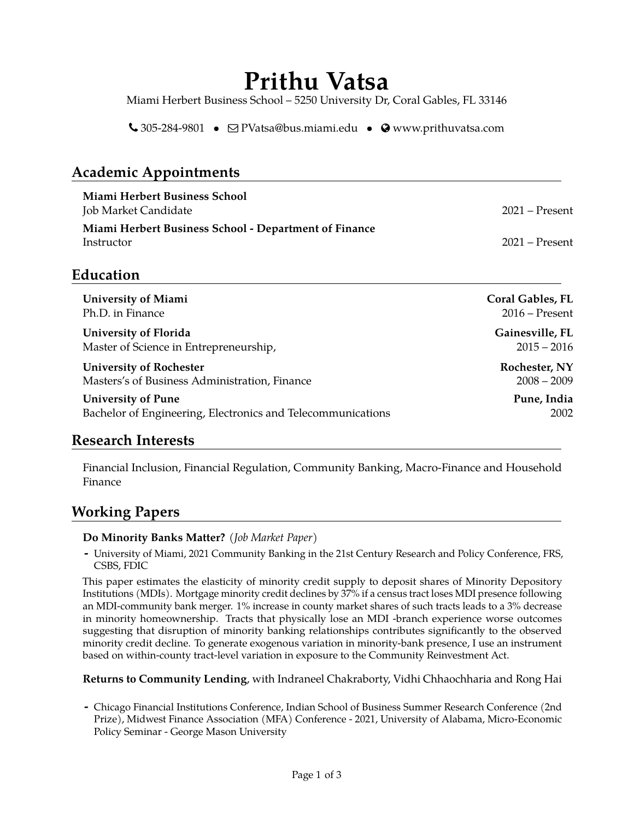# **Prithu Vatsa**

Miami Herbert Business School – 5250 University Dr, Coral Gables, FL 33146

 $\bigcup$  305-284-9801 •  $\bigcirc$  [PVatsa@bus.miami.edu](mailto:PVatsa@bus.miami.edu) •  $\bigcirc$  [www.prithuvatsa.com](http://www.prithuvatsa.com)

# **Academic Appointments**

| Miami Herbert Business School<br>Job Market Candidate               | – 2021 – Present |
|---------------------------------------------------------------------|------------------|
| Miami Herbert Business School - Department of Finance<br>Instructor | $2021 -$ Present |

#### **Education**

| <b>University of Miami</b>                                  | <b>Coral Gables, FL</b> |
|-------------------------------------------------------------|-------------------------|
| Ph.D. in Finance                                            | $2016$ – Present        |
| University of Florida                                       | Gainesville, FL         |
| Master of Science in Entrepreneurship,                      | $2015 - 2016$           |
| <b>University of Rochester</b>                              | Rochester, NY           |
| Masters's of Business Administration, Finance               | $2008 - 2009$           |
| <b>University of Pune</b>                                   | Pune, India             |
| Bachelor of Engineering, Electronics and Telecommunications | 2002                    |

#### **Research Interests**

Financial Inclusion, Financial Regulation, Community Banking, Macro-Finance and Household Finance

## **Working Papers**

#### **Do Minority Banks Matter?** *(Job Market Paper)*

**-** University of Miami, 2021 Community Banking in the 21st Century Research and Policy Conference, FRS, CSBS, FDIC

This paper estimates the elasticity of minority credit supply to deposit shares of Minority Depository Institutions (MDIs). Mortgage minority credit declines by 37% if a census tract loses MDI presence following an MDI-community bank merger. 1% increase in county market shares of such tracts leads to a 3% decrease in minority homeownership. Tracts that physically lose an MDI -branch experience worse outcomes suggesting that disruption of minority banking relationships contributes significantly to the observed minority credit decline. To generate exogenous variation in minority-bank presence, I use an instrument based on within-county tract-level variation in exposure to the Community Reinvestment Act.

**Returns to Community Lending**, with Indraneel Chakraborty, Vidhi Chhaochharia and Rong Hai

**-** Chicago Financial Institutions Conference, Indian School of Business Summer Research Conference (2nd Prize), Midwest Finance Association (MFA) Conference - 2021, University of Alabama, Micro-Economic Policy Seminar - George Mason University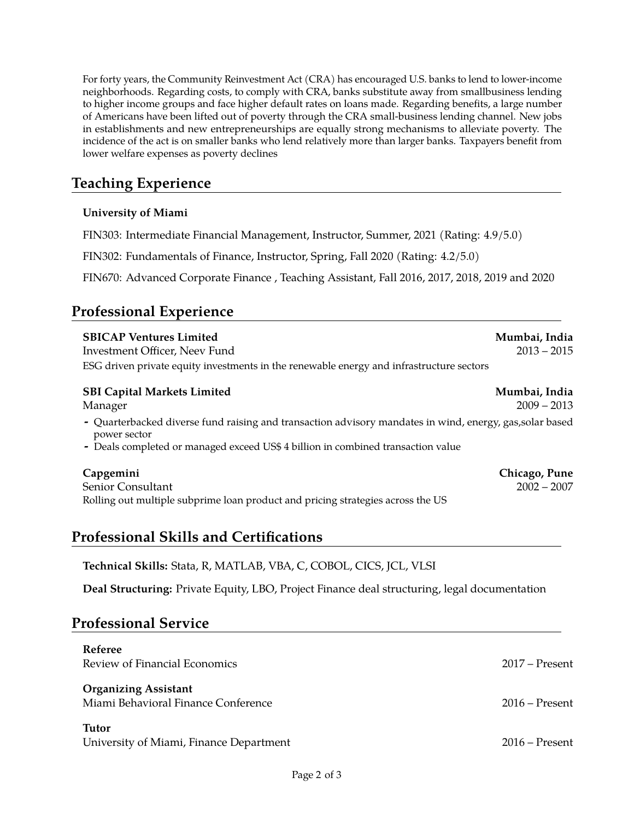For forty years, the Community Reinvestment Act (CRA) has encouraged U.S. banks to lend to lower-income neighborhoods. Regarding costs, to comply with CRA, banks substitute away from smallbusiness lending to higher income groups and face higher default rates on loans made. Regarding benefits, a large number of Americans have been lifted out of poverty through the CRA small-business lending channel. New jobs in establishments and new entrepreneurships are equally strong mechanisms to alleviate poverty. The incidence of the act is on smaller banks who lend relatively more than larger banks. Taxpayers benefit from lower welfare expenses as poverty declines

# **Teaching Experience**

#### **University of Miami**

FIN303: Intermediate Financial Management, Instructor, Summer, 2021 (Rating: 4.9/5.0)

FIN302: Fundamentals of Finance, Instructor, Spring, Fall 2020 (Rating: 4.2/5.0)

FIN670: Advanced Corporate Finance , Teaching Assistant, Fall 2016, 2017, 2018, 2019 and 2020

# **Professional Experience**

| <b>SBICAP Ventures Limited</b><br>Investment Officer, Neev Fund<br>ESG driven private equity investments in the renewable energy and infrastructure sectors                                                  | Mumbai, India<br>$2013 - 2015$ |  |
|--------------------------------------------------------------------------------------------------------------------------------------------------------------------------------------------------------------|--------------------------------|--|
| <b>SBI Capital Markets Limited</b>                                                                                                                                                                           | Mumbai, India                  |  |
| Manager                                                                                                                                                                                                      | $2009 - 2013$                  |  |
| - Quarterbacked diverse fund raising and transaction advisory mandates in wind, energy, gas, solar based<br>power sector<br>- Deals completed or managed exceed US\$ 4 billion in combined transaction value |                                |  |
| Capgemini                                                                                                                                                                                                    | Chicago, Pune                  |  |
| Senior Consultant                                                                                                                                                                                            | $2002 - 2007$                  |  |

Rolling out multiple subprime loan product and pricing strategies across the US

## **Professional Skills and Certifications**

**Technical Skills:** Stata, R, MATLAB, VBA, C, COBOL, CICS, JCL, VLSI

**Deal Structuring:** Private Equity, LBO, Project Finance deal structuring, legal documentation

#### **Professional Service**

| <b>Referee</b><br>Review of Financial Economics                    | $2017 -$ Present |
|--------------------------------------------------------------------|------------------|
| <b>Organizing Assistant</b><br>Miami Behavioral Finance Conference | $2016 -$ Present |
| Tutor<br>University of Miami, Finance Department                   | $2016$ – Present |